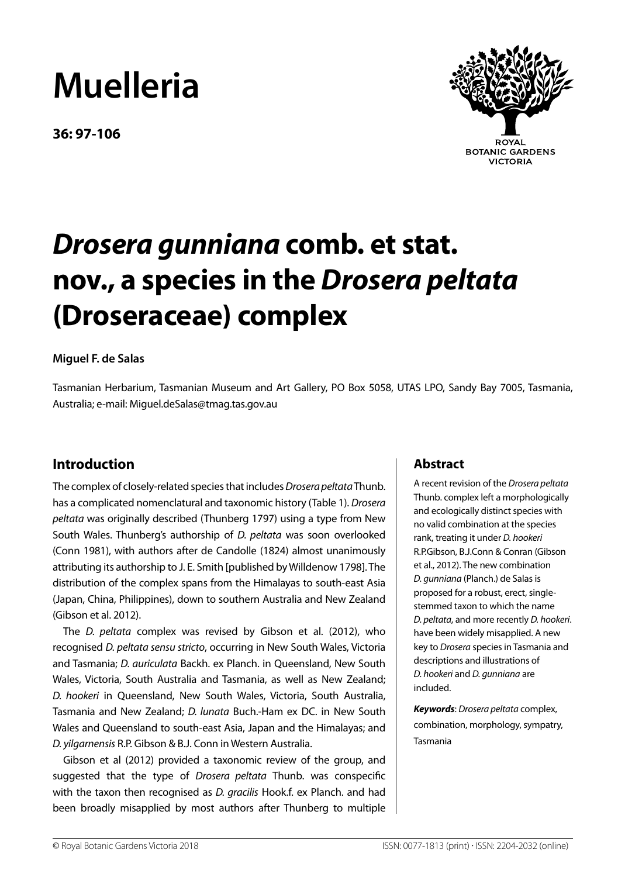# **Muelleria**

**36: 97-106**



**ROYAL BOTANIC GARDENS VICTORIA** 

# *Drosera gunniana* **comb. et stat. nov., a species in the** *Drosera peltata* **(Droseraceae) complex**

### **Miguel F. de Salas**

Tasmanian Herbarium, Tasmanian Museum and Art Gallery, PO Box 5058, UTAS LPO, Sandy Bay 7005, Tasmania, Australia; e-mail: Miguel.deSalas@tmag.tas.gov.au

# **Introduction**

The complex of closely-related species that includes *Drosera peltata* Thunb. has a complicated nomenclatural and taxonomic history (Table 1). *Drosera peltata* was originally described (Thunberg 1797) using a type from New South Wales. Thunberg's authorship of *D. peltata* was soon overlooked (Conn 1981), with authors after de Candolle (1824) almost unanimously attributing its authorship to J. E. Smith [published by Willdenow 1798]. The distribution of the complex spans from the Himalayas to south-east Asia (Japan, China, Philippines), down to southern Australia and New Zealand (Gibson et al. 2012).

The *D. peltata* complex was revised by Gibson et al. (2012), who recognised *D. peltata sensu stricto*, occurring in New South Wales, Victoria and Tasmania; *D. auriculata* Backh. ex Planch. in Queensland, New South Wales, Victoria, South Australia and Tasmania, as well as New Zealand; *D. hookeri* in Queensland, New South Wales, Victoria, South Australia, Tasmania and New Zealand; *D. lunata* Buch.-Ham ex DC. in New South Wales and Queensland to south-east Asia, Japan and the Himalayas; and *D. yilgarnensis* R.P. Gibson & B.J. Conn in Western Australia.

Gibson et al (2012) provided a taxonomic review of the group, and suggested that the type of *Drosera peltata* Thunb. was conspecific with the taxon then recognised as *D. gracilis* Hook.f. ex Planch. and had been broadly misapplied by most authors after Thunberg to multiple

# **Abstract**

A recent revision of the *Drosera peltata* Thunb. complex left a morphologically and ecologically distinct species with no valid combination at the species rank, treating it under *D. hookeri* R.P.Gibson, B.J.Conn & Conran (Gibson et al., 2012). The new combination *D. gunniana* (Planch.) de Salas is proposed for a robust, erect, singlestemmed taxon to which the name *D. peltata*, and more recently *D. hookeri*. have been widely misapplied. A new key to *Drosera* species in Tasmania and descriptions and illustrations of *D. hookeri* and *D. gunniana* are included.

*Keywords*: *Drosera peltata* complex, combination, morphology, sympatry, Tasmania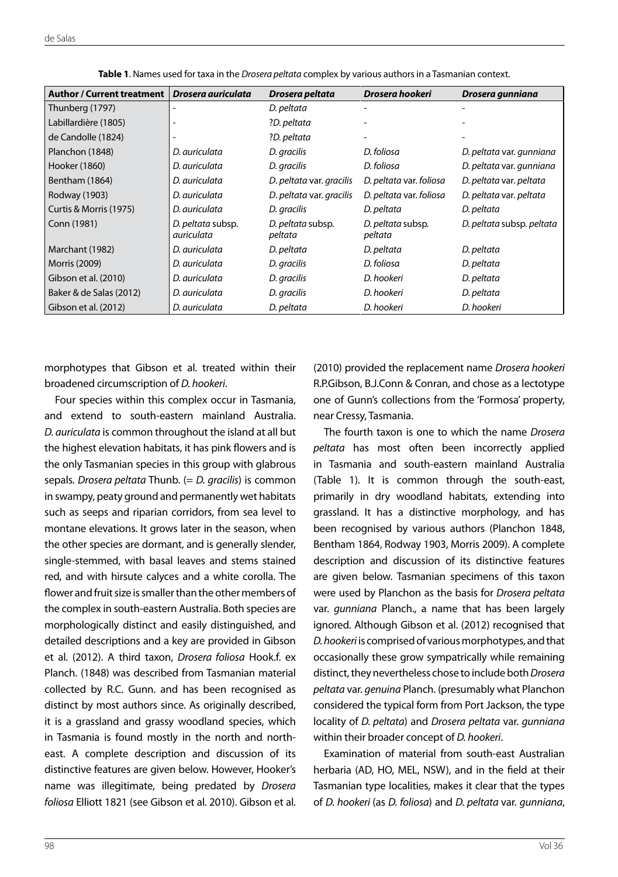| Author / Current treatment | Drosera auriculata              | Drosera peltata              | Drosera hookeri              | Drosera gunniana          |
|----------------------------|---------------------------------|------------------------------|------------------------------|---------------------------|
| Thunberg (1797)            |                                 | D. peltata                   |                              |                           |
| Labillardière (1805)       |                                 | ?D. peltata                  |                              |                           |
| de Candolle (1824)         |                                 | ?D. peltata                  |                              |                           |
| Planchon (1848)            | D. auriculata                   | D. gracilis                  | D. foliosa                   | D. peltata var. gunniana  |
| Hooker (1860)              | D. auriculata                   | D. gracilis                  | D. foliosa                   | D. peltata var. gunniana  |
| Bentham (1864)             | D. auriculata                   | D. peltata var. gracilis     | D. peltata var. foliosa      | D. peltata var. peltata   |
| Rodway (1903)              | D. auriculata                   | D. peltata var. gracilis     | D. peltata var. foliosa      | D. peltata var. peltata   |
| Curtis & Morris (1975)     | D. auriculata                   | D. gracilis                  | D. peltata                   | D. peltata                |
| Conn (1981)                | D. peltata subsp.<br>auriculata | D. peltata subsp.<br>peltata | D. peltata subsp.<br>peltata | D. peltata subsp. peltata |
| Marchant (1982)            | D. auriculata                   | D. peltata                   | D. peltata                   | D. peltata                |
| Morris (2009)              | D. auriculata                   | D. gracilis                  | D. foliosa                   | D. peltata                |
| Gibson et al. (2010)       | D. auriculata                   | D. gracilis                  | D. hookeri                   | D. peltata                |
| Baker & de Salas (2012)    | D. auriculata                   | D. gracilis                  | D. hookeri                   | D. peltata                |
| Gibson et al. (2012)       | D. auriculata                   | D. peltata                   | D. hookeri                   | D. hookeri                |

**Table 1**. Names used for taxa in the *Drosera peltata* complex by various authors in a Tasmanian context.

morphotypes that Gibson et al. treated within their broadened circumscription of *D. hookeri*.

Four species within this complex occur in Tasmania, and extend to south-eastern mainland Australia. *D. auriculata* is common throughout the island at all but the highest elevation habitats, it has pink flowers and is the only Tasmanian species in this group with glabrous sepals. *Drosera peltata* Thunb. (= *D. gracilis*) is common in swampy, peaty ground and permanently wet habitats such as seeps and riparian corridors, from sea level to montane elevations. It grows later in the season, when the other species are dormant, and is generally slender, single-stemmed, with basal leaves and stems stained red, and with hirsute calyces and a white corolla. The flower and fruit size is smaller than the other members of the complex in south-eastern Australia. Both species are morphologically distinct and easily distinguished, and detailed descriptions and a key are provided in Gibson et al. (2012). A third taxon, *Drosera foliosa* Hook.f. ex Planch. (1848) was described from Tasmanian material collected by R.C. Gunn. and has been recognised as distinct by most authors since. As originally described, it is a grassland and grassy woodland species, which in Tasmania is found mostly in the north and northeast. A complete description and discussion of its distinctive features are given below. However, Hooker's name was illegitimate, being predated by *Drosera foliosa* Elliott 1821 (see Gibson et al. 2010). Gibson et al.

(2010) provided the replacement name *Drosera hookeri*  R.P.Gibson, B.J.Conn & Conran, and chose as a lectotype one of Gunn's collections from the 'Formosa' property, near Cressy, Tasmania.

The fourth taxon is one to which the name *Drosera peltata* has most often been incorrectly applied in Tasmania and south-eastern mainland Australia (Table 1). It is common through the south-east, primarily in dry woodland habitats, extending into grassland. It has a distinctive morphology, and has been recognised by various authors (Planchon 1848, Bentham 1864, Rodway 1903, Morris 2009). A complete description and discussion of its distinctive features are given below. Tasmanian specimens of this taxon were used by Planchon as the basis for *Drosera peltata* var. *gunniana* Planch., a name that has been largely ignored. Although Gibson et al. (2012) recognised that *D. hookeri* is comprised of various morphotypes, and that occasionally these grow sympatrically while remaining distinct, they nevertheless chose to include both *Drosera peltata* var. *genuina* Planch. (presumably what Planchon considered the typical form from Port Jackson, the type locality of *D. peltata*) and *Drosera peltata* var. *gunniana* within their broader concept of *D. hookeri*.

Examination of material from south-east Australian herbaria (AD, HO, MEL, NSW), and in the field at their Tasmanian type localities, makes it clear that the types of *D. hookeri* (as *D. foliosa*) and *D. peltata* var. *gunniana*,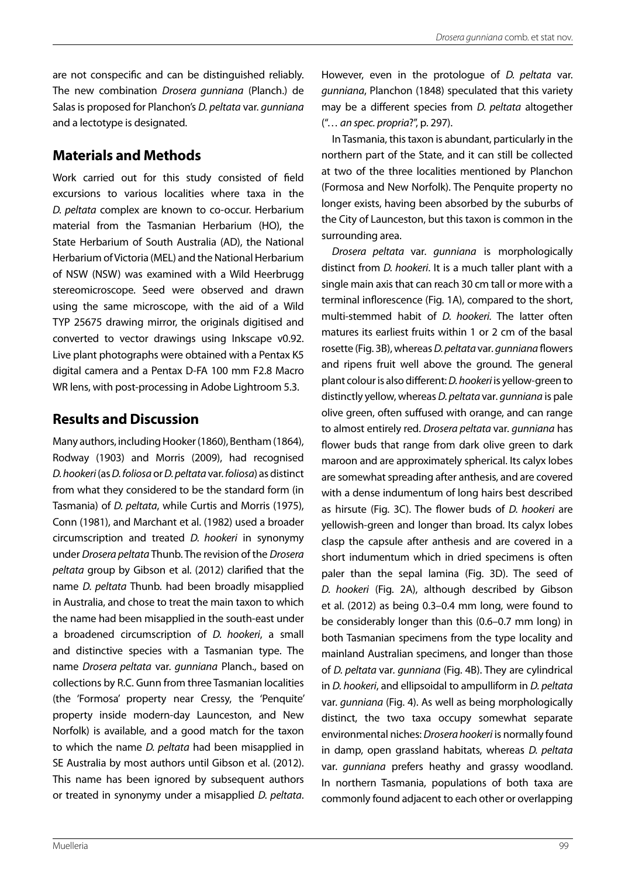are not conspecific and can be distinguished reliably. The new combination *Drosera gunniana* (Planch.) de Salas is proposed for Planchon's *D. peltata* var. *gunniana* and a lectotype is designated.

# **Materials and Methods**

Work carried out for this study consisted of field excursions to various localities where taxa in the *D. peltata* complex are known to co-occur. Herbarium material from the Tasmanian Herbarium (HO), the State Herbarium of South Australia (AD), the National Herbarium of Victoria (MEL) and the National Herbarium of NSW (NSW) was examined with a Wild Heerbrugg stereomicroscope. Seed were observed and drawn using the same microscope, with the aid of a Wild TYP 25675 drawing mirror, the originals digitised and converted to vector drawings using Inkscape v0.92. Live plant photographs were obtained with a Pentax K5 digital camera and a Pentax D-FA 100 mm F2.8 Macro WR lens, with post-processing in Adobe Lightroom 5.3.

# **Results and Discussion**

Many authors, including Hooker (1860), Bentham (1864), Rodway (1903) and Morris (2009), had recognised *D. hookeri* (as *D. foliosa* or *D. peltata* var. *foliosa*) as distinct from what they considered to be the standard form (in Tasmania) of *D. peltata*, while Curtis and Morris (1975), Conn (1981), and Marchant et al. (1982) used a broader circumscription and treated *D. hookeri* in synonymy under *Drosera peltata* Thunb. The revision of the *Drosera peltata* group by Gibson et al. (2012) clarified that the name *D. peltata* Thunb. had been broadly misapplied in Australia, and chose to treat the main taxon to which the name had been misapplied in the south-east under a broadened circumscription of *D. hookeri*, a small and distinctive species with a Tasmanian type. The name *Drosera peltata* var. *gunniana* Planch., based on collections by R.C. Gunn from three Tasmanian localities (the 'Formosa' property near Cressy, the 'Penquite' property inside modern-day Launceston, and New Norfolk) is available, and a good match for the taxon to which the name *D. peltata* had been misapplied in SE Australia by most authors until Gibson et al. (2012). This name has been ignored by subsequent authors or treated in synonymy under a misapplied *D. peltata*. However, even in the protologue of *D. peltata* var. *gunniana*, Planchon (1848) speculated that this variety may be a different species from *D. peltata* altogether ("… *an spec. propria*?", p. 297).

In Tasmania, this taxon is abundant, particularly in the northern part of the State, and it can still be collected at two of the three localities mentioned by Planchon (Formosa and New Norfolk). The Penquite property no longer exists, having been absorbed by the suburbs of the City of Launceston, but this taxon is common in the surrounding area.

*Drosera peltata* var*. gunniana* is morphologically distinct from *D. hookeri*. It is a much taller plant with a single main axis that can reach 30 cm tall or more with a terminal inflorescence (Fig. 1A), compared to the short, multi-stemmed habit of *D. hookeri.* The latter often matures its earliest fruits within 1 or 2 cm of the basal rosette (Fig. 3B), whereas *D. peltata* var*. gunniana* flowers and ripens fruit well above the ground*.* The general plant colour is also different: *D. hookeri* is yellow-green to distinctly yellow, whereas *D. peltata* var*. gunniana* is pale olive green, often suffused with orange, and can range to almost entirely red. *Drosera peltata* var*. gunniana* has flower buds that range from dark olive green to dark maroon and are approximately spherical. Its calyx lobes are somewhat spreading after anthesis, and are covered with a dense indumentum of long hairs best described as hirsute (Fig. 3C). The flower buds of *D. hookeri* are yellowish-green and longer than broad. Its calyx lobes clasp the capsule after anthesis and are covered in a short indumentum which in dried specimens is often paler than the sepal lamina (Fig. 3D). The seed of *D. hookeri* (Fig. 2A), although described by Gibson et al. (2012) as being 0.3–0.4 mm long, were found to be considerably longer than this (0.6–0.7 mm long) in both Tasmanian specimens from the type locality and mainland Australian specimens, and longer than those of *D. peltata* var*. gunniana* (Fig. 4B). They are cylindrical in *D. hookeri*, and ellipsoidal to ampulliform in *D. peltata*  var*. gunniana* (Fig. 4). As well as being morphologically distinct, the two taxa occupy somewhat separate environmental niches: *Drosera hookeri* is normally found in damp, open grassland habitats, whereas *D. peltata*  var*. gunniana* prefers heathy and grassy woodland. In northern Tasmania, populations of both taxa are commonly found adjacent to each other or overlapping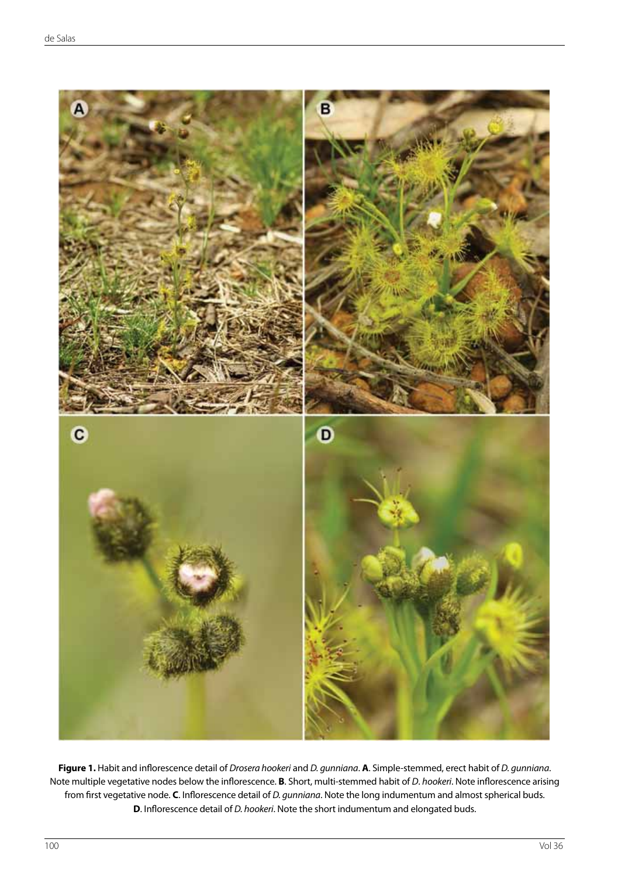

**Figure 1.** Habit and inflorescence detail of *Drosera hookeri* and *D. gunniana*. **A**. Simple-stemmed, erect habit of *D. gunniana*. Note multiple vegetative nodes below the inflorescence. **B**. Short, multi-stemmed habit of *D*. *hookeri*. Note inflorescence arising from first vegetative node. **C**. Inflorescence detail of *D. gunniana*. Note the long indumentum and almost spherical buds. **D**. Inflorescence detail of *D. hookeri*. Note the short indumentum and elongated buds.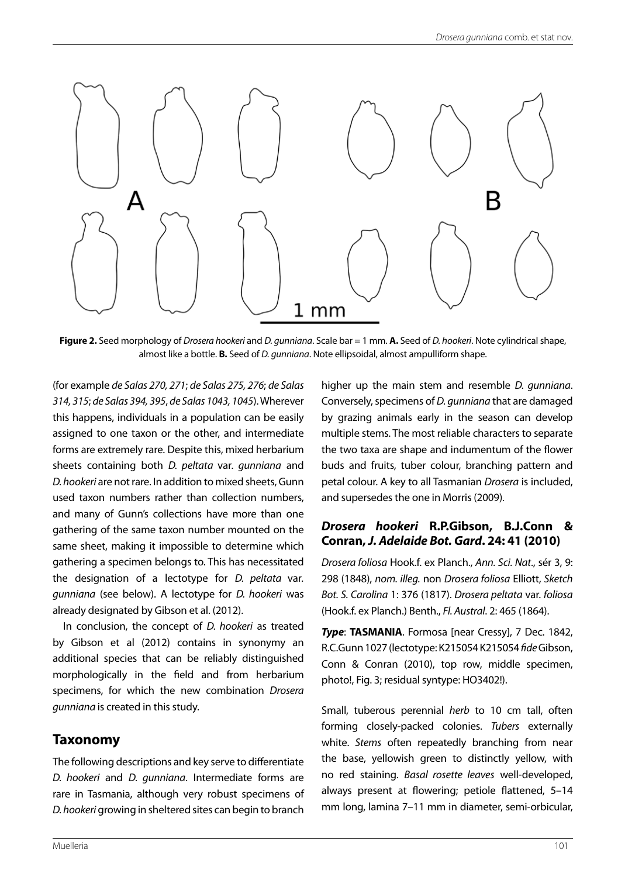

**Figure 2.** Seed morphology of *Drosera hookeri* and *D. gunniana*. Scale bar = 1 mm. **A.** Seed of *D. hookeri*. Note cylindrical shape, almost like a bottle. **B.** Seed of *D. gunniana*. Note ellipsoidal, almost ampulliform shape.

(for example *de Salas 270, 271*; *de Salas 275, 276*; *de Salas 314, 315*; *de Salas 394, 395*, *de Salas 1043, 1045*). Wherever this happens, individuals in a population can be easily assigned to one taxon or the other, and intermediate forms are extremely rare. Despite this, mixed herbarium sheets containing both *D. peltata* var*. gunniana* and *D. hookeri* are not rare. In addition to mixed sheets, Gunn used taxon numbers rather than collection numbers, and many of Gunn's collections have more than one gathering of the same taxon number mounted on the same sheet, making it impossible to determine which gathering a specimen belongs to. This has necessitated the designation of a lectotype for *D. peltata* var*. gunniana* (see below). A lectotype for *D. hookeri* was already designated by Gibson et al. (2012).

In conclusion, the concept of *D. hookeri* as treated by Gibson et al (2012) contains in synonymy an additional species that can be reliably distinguished morphologically in the field and from herbarium specimens, for which the new combination *Drosera gunniana* is created in this study.

# **Taxonomy**

The following descriptions and key serve to differentiate *D. hookeri* and *D. gunniana*. Intermediate forms are rare in Tasmania, although very robust specimens of *D. hookeri* growing in sheltered sites can begin to branch higher up the main stem and resemble *D. gunniana*. Conversely, specimens of *D. gunniana* that are damaged by grazing animals early in the season can develop multiple stems. The most reliable characters to separate the two taxa are shape and indumentum of the flower buds and fruits, tuber colour, branching pattern and petal colour. A key to all Tasmanian *Drosera* is included, and supersedes the one in Morris (2009).

#### *Drosera hookeri* **R.P.Gibson, B.J.Conn & Conran,** *J. Adelaide Bot. Gard***. 24: 41 (2010)**

*Drosera foliosa* Hook.f. ex Planch., *Ann. Sci. Nat*., sér 3, 9: 298 (1848), *nom. illeg.* non *Drosera foliosa* Elliott, *Sketch Bot. S. Carolina* 1: 376 (1817). *Drosera peltata* var. *foliosa* (Hook.f. ex Planch.) Benth., *Fl. Austral*. 2: 465 (1864).

*Type*: **TASMANIA**. Formosa [near Cressy], 7 Dec. 1842, R.C.Gunn 1027 (lectotype: K215054 K215054 *fide* Gibson, Conn & Conran (2010), top row, middle specimen, photo!, Fig. 3; residual syntype: HO3402!).

Small, tuberous perennial *herb* to 10 cm tall, often forming closely-packed colonies. *Tubers* externally white. *Stems* often repeatedly branching from near the base, yellowish green to distinctly yellow, with no red staining. *Basal rosette leaves* well-developed, always present at flowering; petiole flattened, 5–14 mm long, lamina 7–11 mm in diameter, semi-orbicular,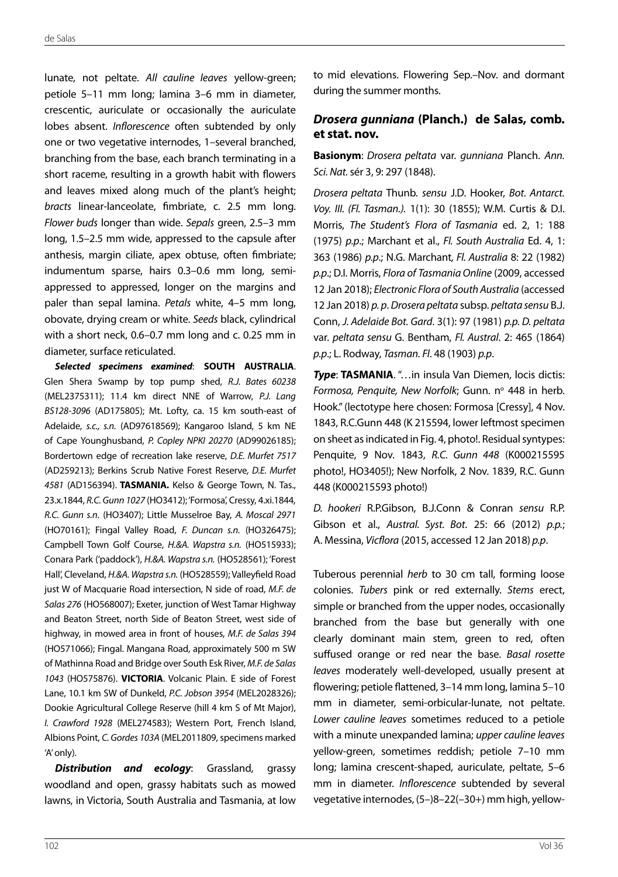lunate, not peltate. *All cauline leaves* yellow-green; petiole 5–11 mm long; lamina 3–6 mm in diameter, crescentic, auriculate or occasionally the auriculate lobes absent. *Inflorescence* often subtended by only one or two vegetative internodes, 1–several branched, branching from the base, each branch terminating in a short raceme, resulting in a growth habit with flowers and leaves mixed along much of the plant's height; *bracts* linear-lanceolate, fimbriate, c. 2.5 mm long. *Flower buds* longer than wide. *Sepals* green, 2.5–3 mm long, 1.5–2.5 mm wide, appressed to the capsule after anthesis, margin ciliate, apex obtuse, often fimbriate; indumentum sparse, hairs 0.3–0.6 mm long, semiappressed to appressed, longer on the margins and paler than sepal lamina. *Petals* white, 4–5 mm long, obovate, drying cream or white. *Seeds* black, cylindrical with a short neck, 0.6–0.7 mm long and c. 0.25 mm in diameter, surface reticulated.

*Selected specimens examined*: **SOUTH AUSTRALIA**. Glen Shera Swamp by top pump shed, *R.J. Bates 60238* (MEL2375311); 11.4 km direct NNE of Warrow, *P.J. Lang BS128-3096* (AD175805); Mt. Lofty, ca. 15 km south-east of Adelaide, *s.c., s.n.* (AD97618569); Kangaroo Island, 5 km NE of Cape Younghusband, *P. Copley NPKI 20270* (AD99026185); Bordertown edge of recreation lake reserve, *D.E. Murfet 7517* (AD259213); Berkins Scrub Native Forest Reserve*, D.E. Murfet 4581* (AD156394). **TASMANIA.** Kelso & George Town, N. Tas., 23.x.1844, *R.C. Gunn 1027* (HO3412); 'Formosa', Cressy, 4.xi.1844*, R.C. Gunn s.n*. (HO3407); Little Musselroe Bay, *A. Moscal 2971* (HO70161); Fingal Valley Road, *F. Duncan s.n.* (HO326475); Campbell Town Golf Course, *H.&A. Wapstra s.n.* (HO515933); Conara Park ('paddock'), *H.&A. Wapstra s.n.* (HO528561); 'Forest Hall', Cleveland, *H.&A. Wapstra s.n.* (HO528559); Valleyfield Road just W of Macquarie Road intersection, N side of road, *M.F. de Salas 276* (HO568007); Exeter, junction of West Tamar Highway and Beaton Street, north Side of Beaton Street, west side of highway, in mowed area in front of houses, *M.F. de Salas 394* (HO571066); Fingal. Mangana Road, approximately 500 m SW of Mathinna Road and Bridge over South Esk River, *M.F. de Salas 1043* (HO575876). **VICTORIA**. Volcanic Plain. E side of Forest Lane, 10.1 km SW of Dunkeld, *P.C. Jobson 3954* (MEL2028326); Dookie Agricultural College Reserve (hill 4 km S of Mt Major), *I. Crawford 1928* (MEL274583); Western Port, French Island, Albions Point, *C. Gordes 103A* (MEL2011809, specimens marked 'A' only).

*Distribution and ecology*: Grassland, grassy woodland and open, grassy habitats such as mowed lawns, in Victoria, South Australia and Tasmania, at low

to mid elevations. Flowering Sep.–Nov. and dormant during the summer months.

#### *Drosera gunniana* **(Planch.) de Salas, comb. et stat. nov.**

**Basionym**: *Drosera peltata* var. *gunniana* Planch. *Ann. Sci. Nat.* sér 3, 9: 297 (1848).

*Drosera peltata* Thunb. *sensu* J.D. Hooker, *Bot. Antarct. Voy. III. (Fl. Tasman.).* 1(1): 30 (1855); W.M. Curtis & D.I. Morris, *The Student's Flora of Tasmania* ed. 2, 1: 188 (1975) *p.p*.; Marchant et al., *Fl. South Australia* Ed. 4, 1: 363 (1986) *p.p*.; N.G. Marchant*, Fl. Australia* 8: 22 (1982) *p.p*.; D.I. Morris, *Flora of Tasmania Online* (2009, accessed 12 Jan 2018); *Electronic Flora of South Australia* (accessed 12 Jan 2018) *p. p*. *Drosera peltata* subsp. *peltata sensu* B.J. Conn, *J. Adelaide Bot. Gard*. 3(1): 97 (1981) *p.p. D. peltata* var. *peltata sensu* G. Bentham, *Fl. Austral*. 2: 465 (1864) *p.p*.; L. Rodway, *Tasman. Fl*. 48 (1903) *p.p*.

*Type*: **TASMANIA**. "…in insula Van Diemen, locis dictis: Formosa, Penquite, New Norfolk; Gunn. nº 448 in herb. Hook." (lectotype here chosen: Formosa [Cressy], 4 Nov. 1843, R.C.Gunn 448 (K 215594, lower leftmost specimen on sheet as indicated in Fig. 4, photo!. Residual syntypes: Penquite, 9 Nov. 1843, *R.C. Gunn 448* (K000215595 photo!, HO3405!); New Norfolk, 2 Nov. 1839, R.C. Gunn 448 (K000215593 photo!)

*D. hookeri* R.P.Gibson, B.J.Conn & Conran *sensu* R.P. Gibson et al., *Austral. Syst. Bot*. 25: 66 (2012) *p.p.*; A. Messina, *Vicflora* (2015, accessed 12 Jan 2018) *p.p*.

Tuberous perennial *herb* to 30 cm tall, forming loose colonies. *Tubers* pink or red externally. *Stems* erect, simple or branched from the upper nodes, occasionally branched from the base but generally with one clearly dominant main stem, green to red, often suffused orange or red near the base. *Basal rosette leaves* moderately well-developed, usually present at flowering; petiole flattened, 3–14 mm long, lamina 5–10 mm in diameter, semi-orbicular-lunate, not peltate. *Lower cauline leaves* sometimes reduced to a petiole with a minute unexpanded lamina; *upper cauline leaves* yellow-green, sometimes reddish; petiole 7–10 mm long; lamina crescent-shaped, auriculate, peltate, 5–6 mm in diameter. *Inflorescence* subtended by several vegetative internodes, (5–)8–22(–30+) mm high, yellow-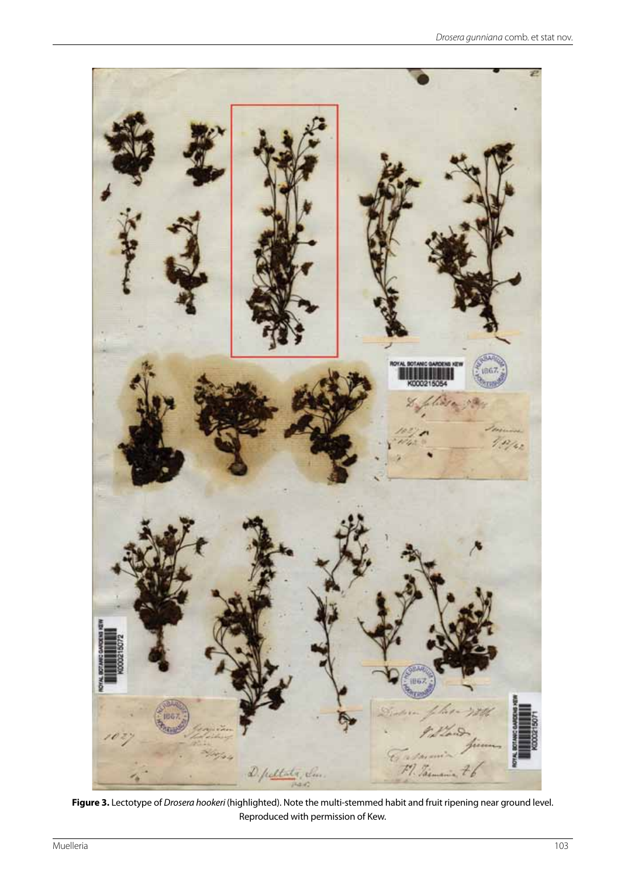

**Figure 3.** Lectotype of *Drosera hookeri* (highlighted). Note the multi-stemmed habit and fruit ripening near ground level. Reproduced with permission of Kew.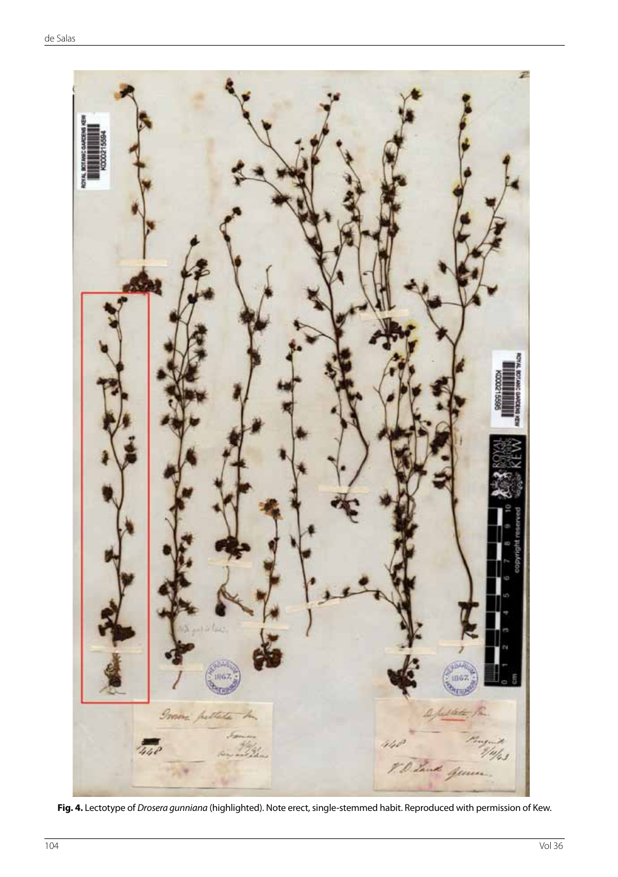

**Fig. 4.** Lectotype of *Drosera gunniana* (highlighted). Note erect, single-stemmed habit. Reproduced with permission of Kew.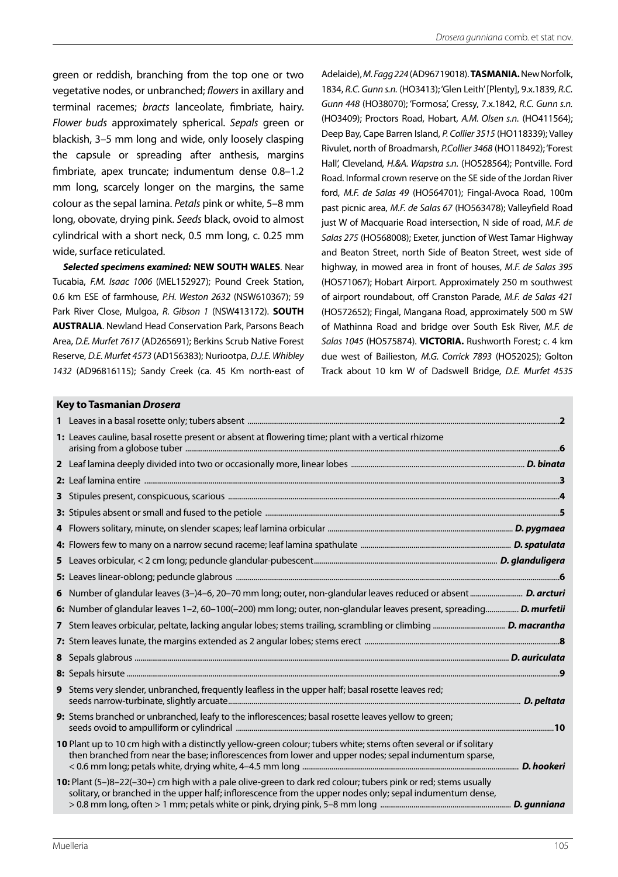green or reddish, branching from the top one or two vegetative nodes, or unbranched; *flowers* in axillary and terminal racemes; *bracts* lanceolate, fimbriate, hairy. *Flower buds* approximately spherical. *Sepals* green or blackish, 3–5 mm long and wide, only loosely clasping the capsule or spreading after anthesis, margins fimbriate, apex truncate; indumentum dense 0.8–1.2 mm long, scarcely longer on the margins, the same colour as the sepal lamina. *Petals* pink or white, 5–8 mm long, obovate, drying pink. *Seeds* black, ovoid to almost cylindrical with a short neck, 0.5 mm long, c. 0.25 mm wide, surface reticulated.

*Selected specimens examined:* **NEW SOUTH WALES**. Near Tucabia, *F.M. Isaac 1006* (MEL152927); Pound Creek Station, 0.6 km ESE of farmhouse, *P.H. Weston 2632* (NSW610367); 59 Park River Close, Mulgoa, *R. Gibson 1* (NSW413172). **SOUTH AUSTRALIA**. Newland Head Conservation Park, Parsons Beach Area, *D.E. Murfet 7617* (AD265691); Berkins Scrub Native Forest Reserve, *D.E. Murfet 4573* (AD156383); Nuriootpa, *D.J.E. Whibley 1432* (AD96816115); Sandy Creek (ca. 45 Km north-east of *Gunn 448* (HO38070); 'Formosa', Cressy, 7.x.1842, *R.C. Gunn s.n.* (HO3409); Proctors Road, Hobart, *A.M. Olsen s.n.* (HO411564); Deep Bay, Cape Barren Island, *P. Collier 3515* (HO118339); Valley Rivulet, north of Broadmarsh, *P.Collier 3468* (HO118492); 'Forest Hall', Cleveland, *H.&A. Wapstra s.n.* (HO528564); Pontville. Ford Road. Informal crown reserve on the SE side of the Jordan River ford, *M.F. de Salas 49* (HO564701); Fingal-Avoca Road, 100m past picnic area, *M.F. de Salas 67* (HO563478); Valleyfield Road just W of Macquarie Road intersection, N side of road, *M.F. de Salas 275* (HO568008); Exeter, junction of West Tamar Highway and Beaton Street, north Side of Beaton Street, west side of highway, in mowed area in front of houses, *M.F. de Salas 395* (HO571067); Hobart Airport. Approximately 250 m southwest of airport roundabout, off Cranston Parade, *M.F. de Salas 421* (HO572652); Fingal, Mangana Road, approximately 500 m SW of Mathinna Road and bridge over South Esk River, *M.F. de Salas 1045* (HO575874). **VICTORIA.** Rushworth Forest; c. 4 km due west of Bailieston, *M.G. Corrick 7893* (HO52025); Golton Track about 10 km W of Dadswell Bridge, *D.E. Murfet 4535* Adelaide), *M. Fagg 224* (AD96719018). **TASMANIA.** New Norfolk, 1834, *R.C. Gunn s.n.* (HO3413); 'Glen Leith' [Plenty], 9.x.1839*, R.C.* 

#### **Key to Tasmanian** *Drosera*

| <u>ney to Tashianian <i>Dr</i>oser</u> a                                                                                                                                                                                    |  |
|-----------------------------------------------------------------------------------------------------------------------------------------------------------------------------------------------------------------------------|--|
|                                                                                                                                                                                                                             |  |
| 1: Leaves cauline, basal rosette present or absent at flowering time; plant with a vertical rhizome                                                                                                                         |  |
|                                                                                                                                                                                                                             |  |
|                                                                                                                                                                                                                             |  |
|                                                                                                                                                                                                                             |  |
|                                                                                                                                                                                                                             |  |
|                                                                                                                                                                                                                             |  |
|                                                                                                                                                                                                                             |  |
|                                                                                                                                                                                                                             |  |
|                                                                                                                                                                                                                             |  |
|                                                                                                                                                                                                                             |  |
| 6: Number of glandular leaves 1-2, 60-100(-200) mm long; outer, non-glandular leaves present, spreading D. murfetii                                                                                                         |  |
|                                                                                                                                                                                                                             |  |
|                                                                                                                                                                                                                             |  |
|                                                                                                                                                                                                                             |  |
|                                                                                                                                                                                                                             |  |
| 9 Stems very slender, unbranched, frequently leafless in the upper half; basal rosette leaves red;                                                                                                                          |  |
| 9: Stems branched or unbranched, leafy to the inflorescences; basal rosette leaves yellow to green;                                                                                                                         |  |
| 10 Plant up to 10 cm high with a distinctly yellow-green colour; tubers white; stems often several or if solitary<br>then branched from near the base; inflorescences from lower and upper nodes; sepal indumentum sparse,  |  |
| 10: Plant (5-)8-22(-30+) cm high with a pale olive-green to dark red colour; tubers pink or red; stems usually<br>solitary, or branched in the upper half; inflorescence from the upper nodes only; sepal indumentum dense, |  |